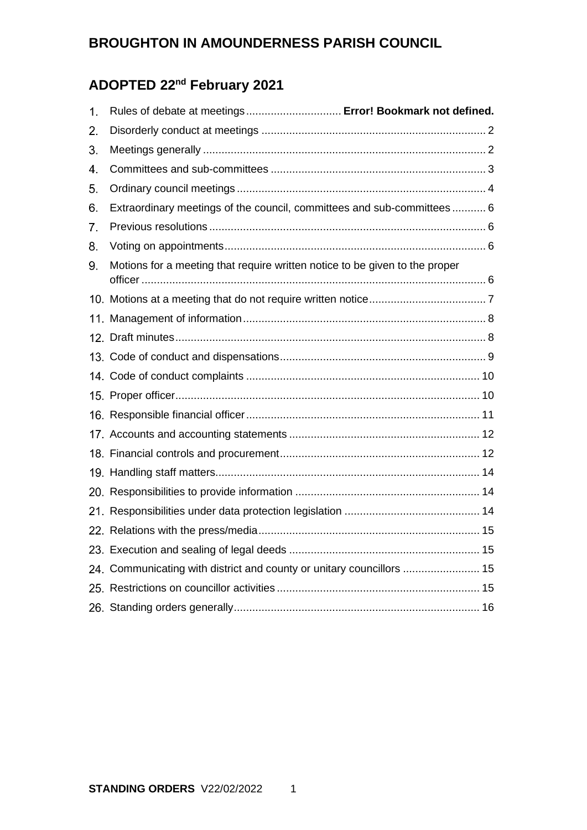# **ADOPTED 22nd February 2021**

| $\mathbf{1}$ . | Rules of debate at meetings Error! Bookmark not defined.                    |
|----------------|-----------------------------------------------------------------------------|
| 2.             |                                                                             |
| 3.             |                                                                             |
| 4.             |                                                                             |
| 5.             |                                                                             |
| 6.             | Extraordinary meetings of the council, committees and sub-committees  6     |
| 7.             |                                                                             |
| 8.             |                                                                             |
| 9.             | Motions for a meeting that require written notice to be given to the proper |
|                |                                                                             |
|                |                                                                             |
|                |                                                                             |
|                |                                                                             |
|                |                                                                             |
|                |                                                                             |
|                |                                                                             |
|                |                                                                             |
|                |                                                                             |
|                |                                                                             |
|                |                                                                             |
|                |                                                                             |
|                |                                                                             |
|                |                                                                             |
|                | 24. Communicating with district and county or unitary councillors  15       |
|                |                                                                             |
|                |                                                                             |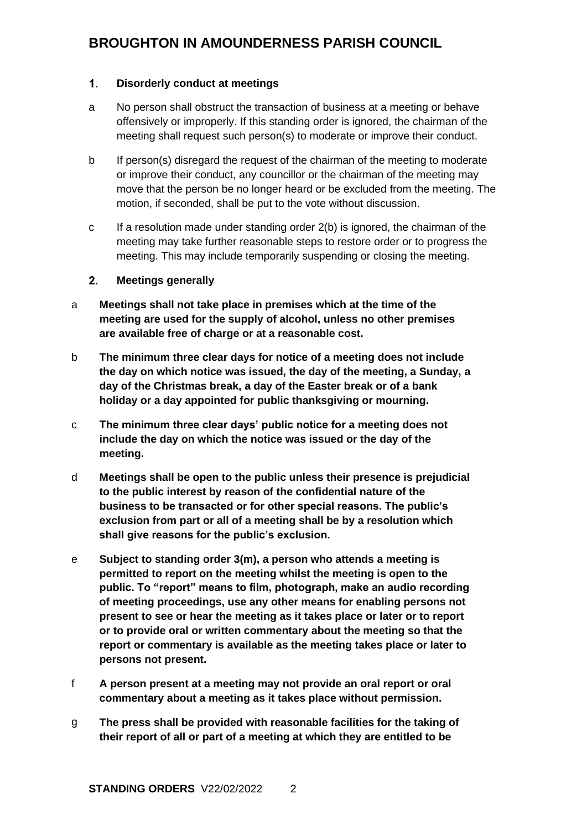#### <span id="page-1-0"></span> $\overline{1}$ . **Disorderly conduct at meetings**

- a No person shall obstruct the transaction of business at a meeting or behave offensively or improperly. If this standing order is ignored, the chairman of the meeting shall request such person(s) to moderate or improve their conduct.
- b If person(s) disregard the request of the chairman of the meeting to moderate or improve their conduct, any councillor or the chairman of the meeting may move that the person be no longer heard or be excluded from the meeting. The motion, if seconded, shall be put to the vote without discussion.
- c If a resolution made under standing order 2(b) is ignored, the chairman of the meeting may take further reasonable steps to restore order or to progress the meeting. This may include temporarily suspending or closing the meeting.

#### <span id="page-1-1"></span> $2<sub>-</sub>$ **Meetings generally**

- a **Meetings shall not take place in premises which at the time of the meeting are used for the supply of alcohol, unless no other premises are available free of charge or at a reasonable cost.**
- b **The minimum three clear days for notice of a meeting does not include the day on which notice was issued, the day of the meeting, a Sunday, a day of the Christmas break, a day of the Easter break or of a bank holiday or a day appointed for public thanksgiving or mourning.**
- c **The minimum three clear days' public notice for a meeting does not include the day on which the notice was issued or the day of the meeting.**
- d **Meetings shall be open to the public unless their presence is prejudicial to the public interest by reason of the confidential nature of the business to be transacted or for other special reasons. The public's exclusion from part or all of a meeting shall be by a resolution which shall give reasons for the public's exclusion.**
- e **Subject to standing order 3(m), a person who attends a meeting is permitted to report on the meeting whilst the meeting is open to the public. To "report" means to film, photograph, make an audio recording of meeting proceedings, use any other means for enabling persons not present to see or hear the meeting as it takes place or later or to report or to provide oral or written commentary about the meeting so that the report or commentary is available as the meeting takes place or later to persons not present.**
- f **A person present at a meeting may not provide an oral report or oral commentary about a meeting as it takes place without permission.**
- g **The press shall be provided with reasonable facilities for the taking of their report of all or part of a meeting at which they are entitled to be**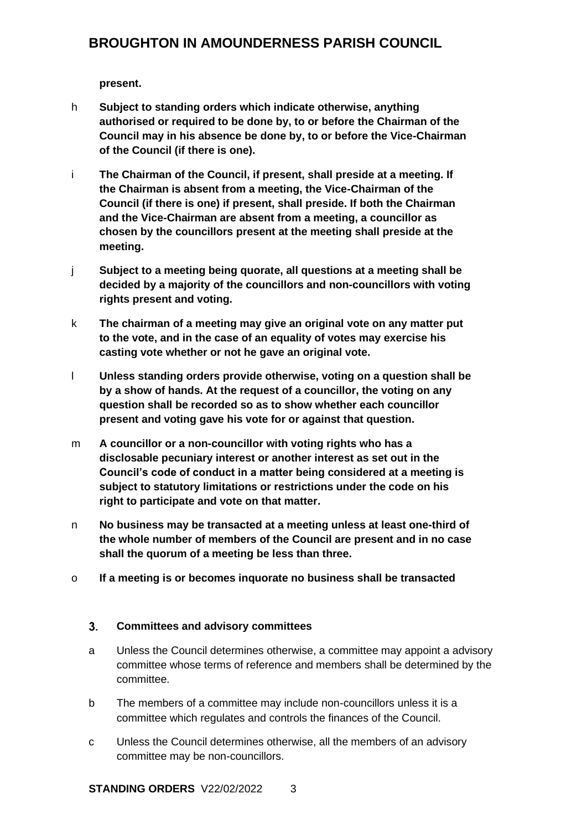**present.** 

- h **Subject to standing orders which indicate otherwise, anything authorised or required to be done by, to or before the Chairman of the Council may in his absence be done by, to or before the Vice-Chairman of the Council (if there is one).**
- i **The Chairman of the Council, if present, shall preside at a meeting. If the Chairman is absent from a meeting, the Vice-Chairman of the Council (if there is one) if present, shall preside. If both the Chairman and the Vice-Chairman are absent from a meeting, a councillor as chosen by the councillors present at the meeting shall preside at the meeting.**
- j **Subject to a meeting being quorate, all questions at a meeting shall be decided by a majority of the councillors and non-councillors with voting rights present and voting.**
- k **The chairman of a meeting may give an original vote on any matter put to the vote, and in the case of an equality of votes may exercise his casting vote whether or not he gave an original vote.**
- l **Unless standing orders provide otherwise, voting on a question shall be by a show of hands. At the request of a councillor, the voting on any question shall be recorded so as to show whether each councillor present and voting gave his vote for or against that question.**
- m **A councillor or a non-councillor with voting rights who has a disclosable pecuniary interest or another interest as set out in the Council's code of conduct in a matter being considered at a meeting is subject to statutory limitations or restrictions under the code on his right to participate and vote on that matter.**
- n **No business may be transacted at a meeting unless at least one-third of the whole number of members of the Council are present and in no case shall the quorum of a meeting be less than three.**
- o **If a meeting is or becomes inquorate no business shall be transacted**

#### <span id="page-2-0"></span> $3.$ **Committees and advisory committees**

- a Unless the Council determines otherwise, a committee may appoint a advisory committee whose terms of reference and members shall be determined by the committee.
- b The members of a committee may include non-councillors unless it is a committee which regulates and controls the finances of the Council.
- c Unless the Council determines otherwise, all the members of an advisory committee may be non-councillors.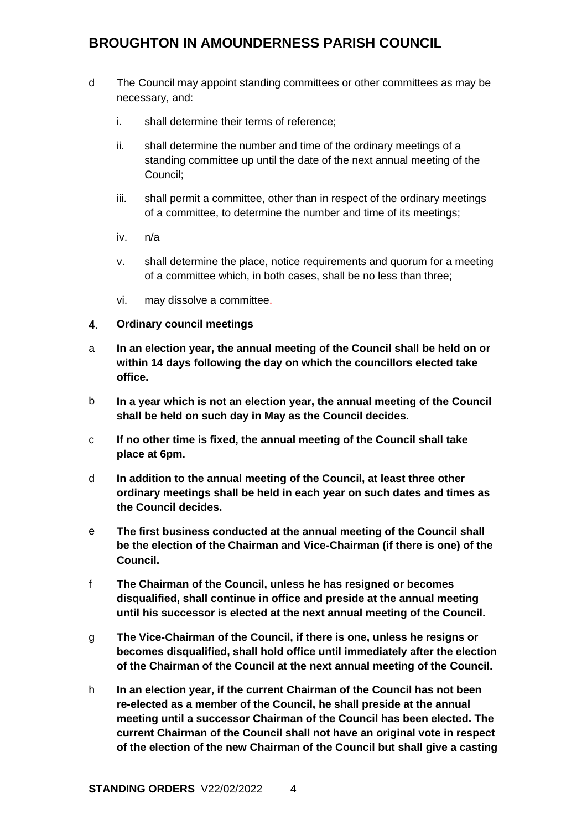- d The Council may appoint standing committees or other committees as may be necessary, and:
	- i. shall determine their terms of reference;
	- ii. shall determine the number and time of the ordinary meetings of a standing committee up until the date of the next annual meeting of the Council;
	- iii. shall permit a committee, other than in respect of the ordinary meetings of a committee, to determine the number and time of its meetings;
	- iv. n/a
	- v. shall determine the place, notice requirements and quorum for a meeting of a committee which, in both cases, shall be no less than three;
	- vi. may dissolve a committee.

#### <span id="page-3-0"></span> $4<sub>1</sub>$ **Ordinary council meetings**

- a **In an election year, the annual meeting of the Council shall be held on or within 14 days following the day on which the councillors elected take office.**
- b **In a year which is not an election year, the annual meeting of the Council shall be held on such day in May as the Council decides.**
- c **If no other time is fixed, the annual meeting of the Council shall take place at 6pm.**
- d **In addition to the annual meeting of the Council, at least three other ordinary meetings shall be held in each year on such dates and times as the Council decides.**
- e **The first business conducted at the annual meeting of the Council shall be the election of the Chairman and Vice-Chairman (if there is one) of the Council.**
- f **The Chairman of the Council, unless he has resigned or becomes disqualified, shall continue in office and preside at the annual meeting until his successor is elected at the next annual meeting of the Council.**
- g **The Vice-Chairman of the Council, if there is one, unless he resigns or becomes disqualified, shall hold office until immediately after the election of the Chairman of the Council at the next annual meeting of the Council.**
- h **In an election year, if the current Chairman of the Council has not been re-elected as a member of the Council, he shall preside at the annual meeting until a successor Chairman of the Council has been elected. The current Chairman of the Council shall not have an original vote in respect of the election of the new Chairman of the Council but shall give a casting**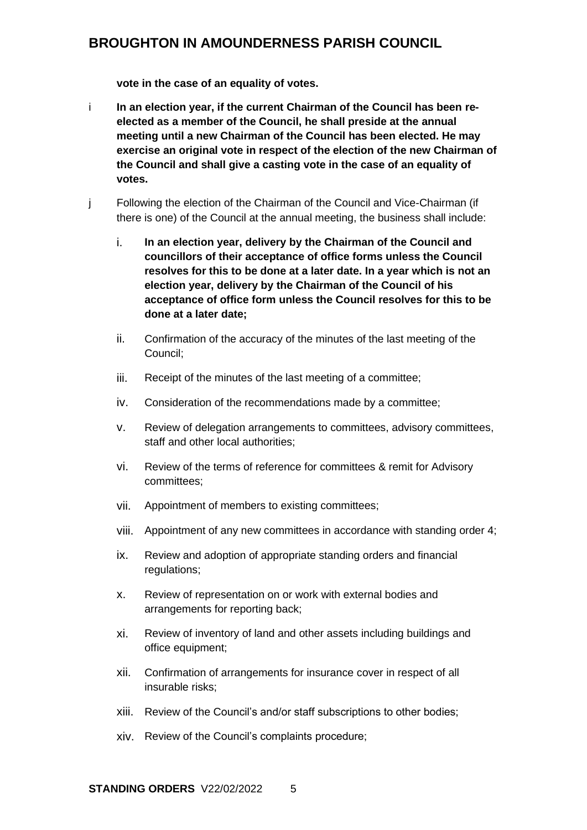**vote in the case of an equality of votes.**

- i **In an election year, if the current Chairman of the Council has been reelected as a member of the Council, he shall preside at the annual meeting until a new Chairman of the Council has been elected. He may exercise an original vote in respect of the election of the new Chairman of the Council and shall give a casting vote in the case of an equality of votes.**
- j Following the election of the Chairman of the Council and Vice-Chairman (if there is one) of the Council at the annual meeting, the business shall include:
	- i. **In an election year, delivery by the Chairman of the Council and councillors of their acceptance of office forms unless the Council resolves for this to be done at a later date. In a year which is not an election year, delivery by the Chairman of the Council of his acceptance of office form unless the Council resolves for this to be done at a later date;**
	- ii. Confirmation of the accuracy of the minutes of the last meeting of the Council;
	- iii. Receipt of the minutes of the last meeting of a committee;
	- iv. Consideration of the recommendations made by a committee;
	- v. Review of delegation arrangements to committees, advisory committees, staff and other local authorities;
	- vi. Review of the terms of reference for committees & remit for Advisory committees;
	- vii. Appointment of members to existing committees;
	- viii. Appointment of any new committees in accordance with standing order 4;
	- ix. Review and adoption of appropriate standing orders and financial regulations;
	- x. Review of representation on or work with external bodies and arrangements for reporting back;
	- xi. Review of inventory of land and other assets including buildings and office equipment;
	- xii. Confirmation of arrangements for insurance cover in respect of all insurable risks;
	- xiii. Review of the Council's and/or staff subscriptions to other bodies;
	- xiv. Review of the Council's complaints procedure;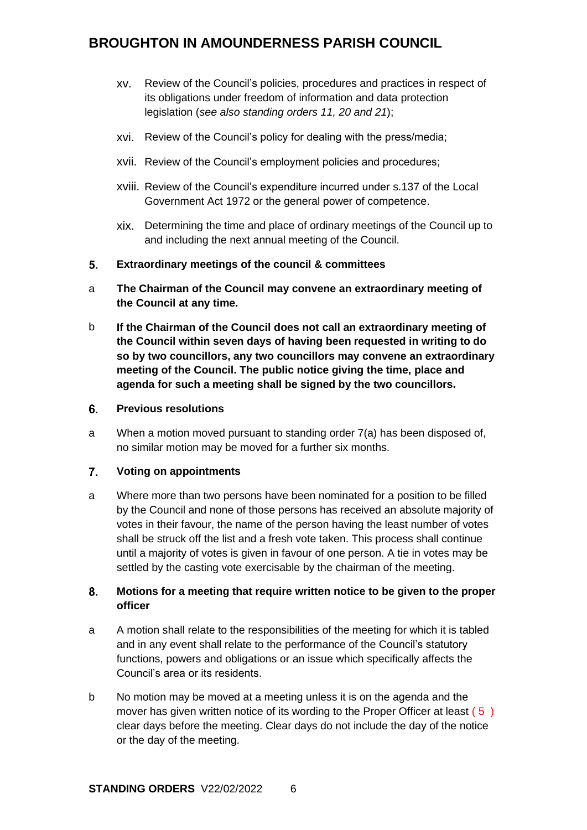- xv. Review of the Council's policies, procedures and practices in respect of its obligations under freedom of information and data protection legislation (*see also standing orders 11, 20 and 21*);
- xvi. Review of the Council's policy for dealing with the press/media;
- xvii. Review of the Council's employment policies and procedures;
- xviii. Review of the Council's expenditure incurred under s.137 of the Local Government Act 1972 or the general power of competence.
- xix. Determining the time and place of ordinary meetings of the Council up to and including the next annual meeting of the Council.
- <span id="page-5-0"></span> $5<sub>1</sub>$ **Extraordinary meetings of the council & committees**
- a **The Chairman of the Council may convene an extraordinary meeting of the Council at any time.**
- b **If the Chairman of the Council does not call an extraordinary meeting of the Council within seven days of having been requested in writing to do so by two councillors, any two councillors may convene an extraordinary meeting of the Council. The public notice giving the time, place and agenda for such a meeting shall be signed by the two councillors.**
- <span id="page-5-1"></span>6. **Previous resolutions**
- a When a motion moved pursuant to standing order 7(a) has been disposed of, no similar motion may be moved for a further six months.

#### <span id="page-5-2"></span> $\overline{7}$ . **Voting on appointments**

a Where more than two persons have been nominated for a position to be filled by the Council and none of those persons has received an absolute majority of votes in their favour, the name of the person having the least number of votes shall be struck off the list and a fresh vote taken. This process shall continue until a majority of votes is given in favour of one person. A tie in votes may be settled by the casting vote exercisable by the chairman of the meeting.

#### <span id="page-5-3"></span>8. **Motions for a meeting that require written notice to be given to the proper officer**

- a A motion shall relate to the responsibilities of the meeting for which it is tabled and in any event shall relate to the performance of the Council's statutory functions, powers and obligations or an issue which specifically affects the Council's area or its residents.
- b No motion may be moved at a meeting unless it is on the agenda and the mover has given written notice of its wording to the Proper Officer at least (5) clear days before the meeting. Clear days do not include the day of the notice or the day of the meeting.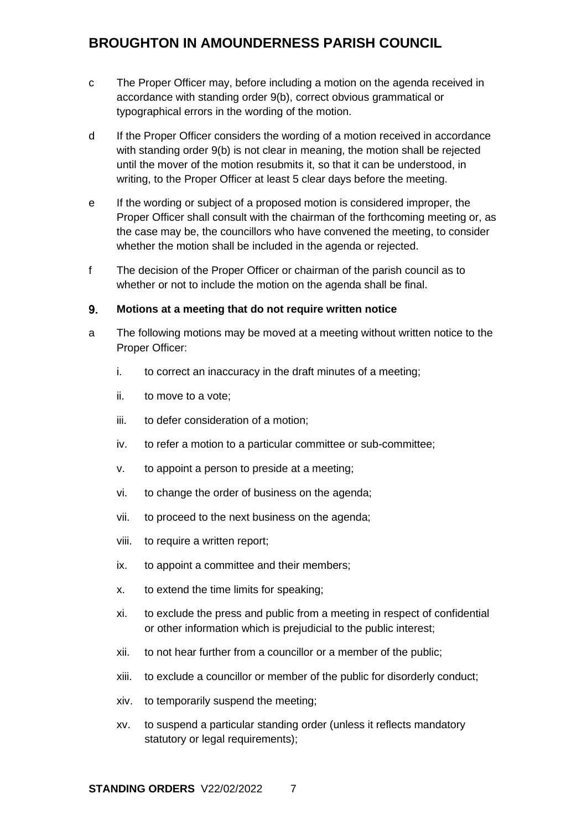- c The Proper Officer may, before including a motion on the agenda received in accordance with standing order 9(b), correct obvious grammatical or typographical errors in the wording of the motion.
- d If the Proper Officer considers the wording of a motion received in accordance with standing order 9(b) is not clear in meaning, the motion shall be rejected until the mover of the motion resubmits it, so that it can be understood, in writing, to the Proper Officer at least 5 clear days before the meeting.
- e If the wording or subject of a proposed motion is considered improper, the Proper Officer shall consult with the chairman of the forthcoming meeting or, as the case may be, the councillors who have convened the meeting, to consider whether the motion shall be included in the agenda or rejected.
- f The decision of the Proper Officer or chairman of the parish council as to whether or not to include the motion on the agenda shall be final.

#### <span id="page-6-0"></span> $9<sub>-</sub>$ **Motions at a meeting that do not require written notice**

- a The following motions may be moved at a meeting without written notice to the Proper Officer:
	- i. to correct an inaccuracy in the draft minutes of a meeting;
	- ii. to move to a vote;
	- iii. to defer consideration of a motion;
	- iv. to refer a motion to a particular committee or sub-committee;
	- v. to appoint a person to preside at a meeting;
	- vi. to change the order of business on the agenda;
	- vii. to proceed to the next business on the agenda;
	- viii. to require a written report;
	- ix. to appoint a committee and their members;
	- x. to extend the time limits for speaking;
	- xi. to exclude the press and public from a meeting in respect of confidential or other information which is prejudicial to the public interest;
	- xii. to not hear further from a councillor or a member of the public;
	- xiii. to exclude a councillor or member of the public for disorderly conduct;
	- xiv. to temporarily suspend the meeting;
	- xv. to suspend a particular standing order (unless it reflects mandatory statutory or legal requirements):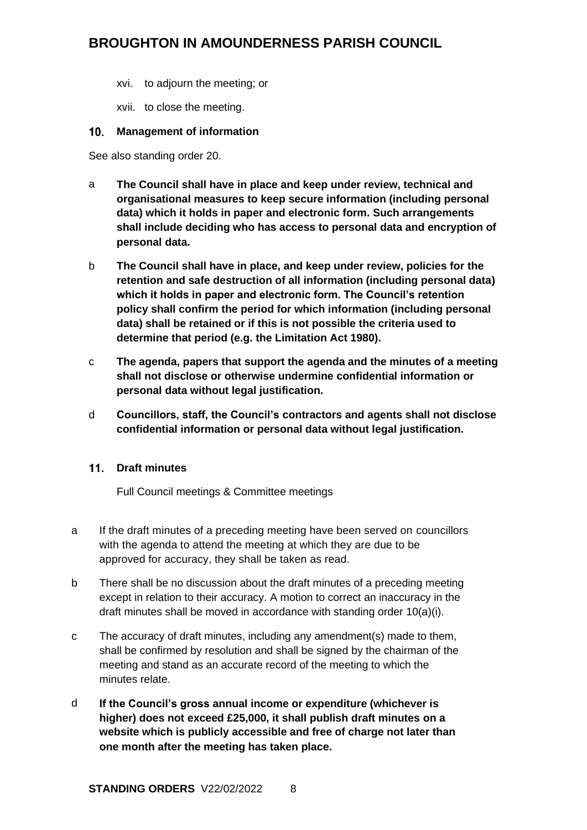xvi. to adjourn the meeting; or

xvii. to close the meeting.

### <span id="page-7-0"></span>**Management of information**

See also standing order 20.

- a **The Council shall have in place and keep under review, technical and organisational measures to keep secure information (including personal data) which it holds in paper and electronic form. Such arrangements shall include deciding who has access to personal data and encryption of personal data.**
- b **The Council shall have in place, and keep under review, policies for the retention and safe destruction of all information (including personal data) which it holds in paper and electronic form. The Council's retention policy shall confirm the period for which information (including personal data) shall be retained or if this is not possible the criteria used to determine that period (e.g. the Limitation Act 1980).**
- c **The agenda, papers that support the agenda and the minutes of a meeting shall not disclose or otherwise undermine confidential information or personal data without legal justification.**
- d **Councillors, staff, the Council's contractors and agents shall not disclose confidential information or personal data without legal justification.**

## <span id="page-7-1"></span>**Draft minutes**

Full Council meetings & Committee meetings

- a If the draft minutes of a preceding meeting have been served on councillors with the agenda to attend the meeting at which they are due to be approved for accuracy, they shall be taken as read.
- b There shall be no discussion about the draft minutes of a preceding meeting except in relation to their accuracy. A motion to correct an inaccuracy in the draft minutes shall be moved in accordance with standing order 10(a)(i).
- c The accuracy of draft minutes, including any amendment(s) made to them, shall be confirmed by resolution and shall be signed by the chairman of the meeting and stand as an accurate record of the meeting to which the minutes relate.
- d **If the Council's gross annual income or expenditure (whichever is higher) does not exceed £25,000, it shall publish draft minutes on a website which is publicly accessible and free of charge not later than one month after the meeting has taken place.**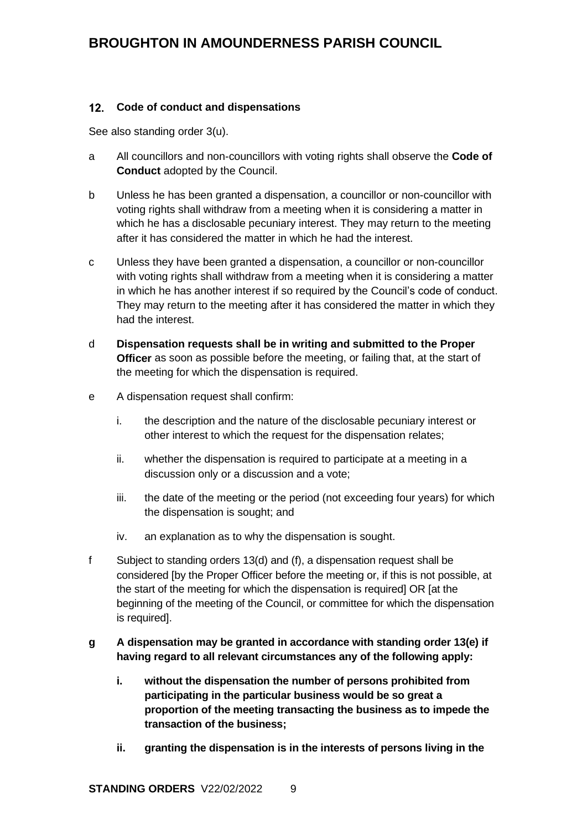### <span id="page-8-0"></span>**Code of conduct and dispensations**

See also standing order 3(u).

- a All councillors and non-councillors with voting rights shall observe the **Code of Conduct** adopted by the Council.
- b Unless he has been granted a dispensation, a councillor or non-councillor with voting rights shall withdraw from a meeting when it is considering a matter in which he has a disclosable pecuniary interest. They may return to the meeting after it has considered the matter in which he had the interest.
- c Unless they have been granted a dispensation, a councillor or non-councillor with voting rights shall withdraw from a meeting when it is considering a matter in which he has another interest if so required by the Council's code of conduct. They may return to the meeting after it has considered the matter in which they had the interest.
- d **Dispensation requests shall be in writing and submitted to the Proper Officer** as soon as possible before the meeting, or failing that, at the start of the meeting for which the dispensation is required.
- e A dispensation request shall confirm:
	- i. the description and the nature of the disclosable pecuniary interest or other interest to which the request for the dispensation relates;
	- ii. whether the dispensation is required to participate at a meeting in a discussion only or a discussion and a vote;
	- iii. the date of the meeting or the period (not exceeding four years) for which the dispensation is sought; and
	- iv. an explanation as to why the dispensation is sought.
- f Subject to standing orders 13(d) and (f), a dispensation request shall be considered [by the Proper Officer before the meeting or, if this is not possible, at the start of the meeting for which the dispensation is required] OR [at the beginning of the meeting of the Council, or committee for which the dispensation is required].
- **g A dispensation may be granted in accordance with standing order 13(e) if having regard to all relevant circumstances any of the following apply:**
	- **i. without the dispensation the number of persons prohibited from participating in the particular business would be so great a proportion of the meeting transacting the business as to impede the transaction of the business;**
	- **ii. granting the dispensation is in the interests of persons living in the**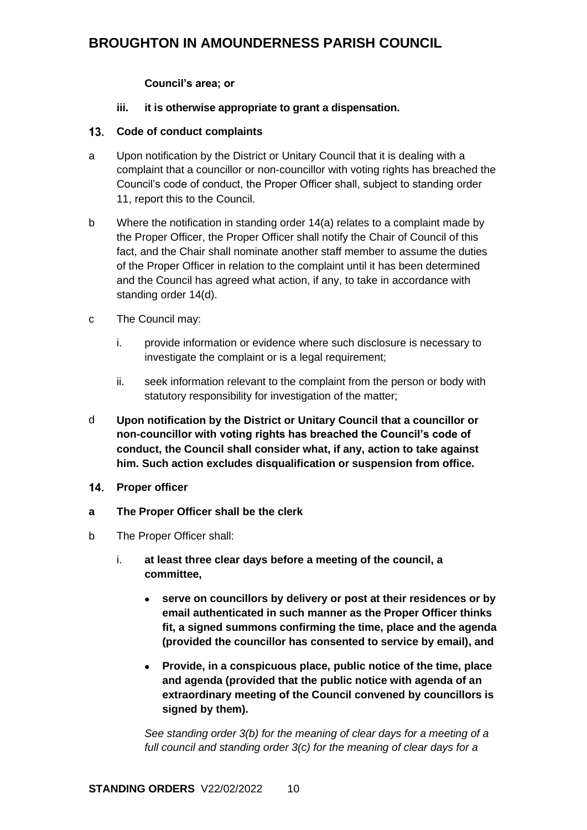### **Council's area; or**

### **iii. it is otherwise appropriate to grant a dispensation.**

### <span id="page-9-0"></span>**Code of conduct complaints**

- a Upon notification by the District or Unitary Council that it is dealing with a complaint that a councillor or non-councillor with voting rights has breached the Council's code of conduct, the Proper Officer shall, subject to standing order 11, report this to the Council.
- b Where the notification in standing order 14(a) relates to a complaint made by the Proper Officer, the Proper Officer shall notify the Chair of Council of this fact, and the Chair shall nominate another staff member to assume the duties of the Proper Officer in relation to the complaint until it has been determined and the Council has agreed what action, if any, to take in accordance with standing order 14(d).
- c The Council may:
	- i. provide information or evidence where such disclosure is necessary to investigate the complaint or is a legal requirement;
	- ii. seek information relevant to the complaint from the person or body with statutory responsibility for investigation of the matter;
- d **Upon notification by the District or Unitary Council that a councillor or non-councillor with voting rights has breached the Council's code of conduct, the Council shall consider what, if any, action to take against him. Such action excludes disqualification or suspension from office.**
- <span id="page-9-1"></span>14. Proper officer
- **a The Proper Officer shall be the clerk**
- b The Proper Officer shall:
	- i. **at least three clear days before a meeting of the council, a committee,**
		- **serve on councillors by delivery or post at their residences or by email authenticated in such manner as the Proper Officer thinks fit, a signed summons confirming the time, place and the agenda (provided the councillor has consented to service by email), and**
		- **Provide, in a conspicuous place, public notice of the time, place and agenda (provided that the public notice with agenda of an extraordinary meeting of the Council convened by councillors is signed by them).**

*See standing order 3(b) for the meaning of clear days for a meeting of a full council and standing order 3(c) for the meaning of clear days for a*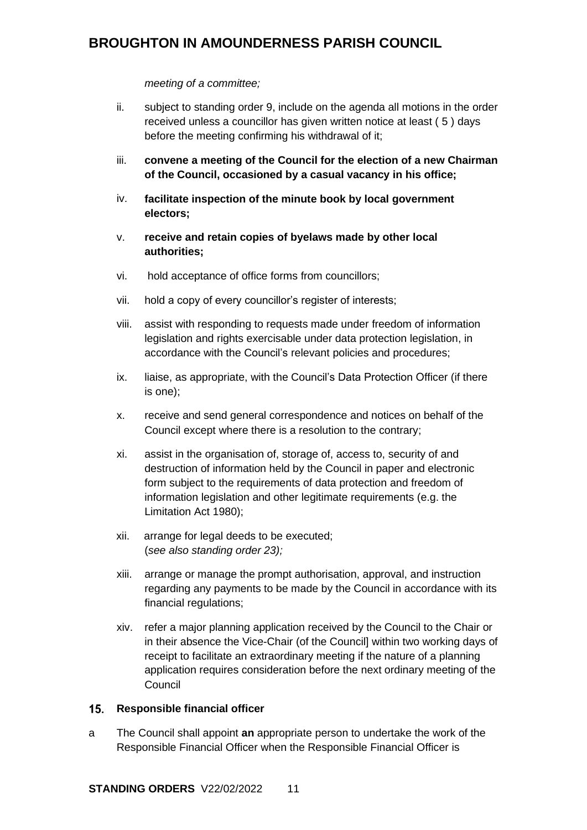### *meeting of a committee;*

- ii. subject to standing order 9, include on the agenda all motions in the order received unless a councillor has given written notice at least ( 5 ) days before the meeting confirming his withdrawal of it;
- iii. **convene a meeting of the Council for the election of a new Chairman of the Council, occasioned by a casual vacancy in his office;**
- iv. **facilitate inspection of the minute book by local government electors;**
- v. **receive and retain copies of byelaws made by other local authorities;**
- vi. hold acceptance of office forms from councillors;
- vii. hold a copy of every councillor's register of interests;
- viii. assist with responding to requests made under freedom of information legislation and rights exercisable under data protection legislation, in accordance with the Council's relevant policies and procedures;
- ix. liaise, as appropriate, with the Council's Data Protection Officer (if there is one);
- x. receive and send general correspondence and notices on behalf of the Council except where there is a resolution to the contrary;
- xi. assist in the organisation of, storage of, access to, security of and destruction of information held by the Council in paper and electronic form subject to the requirements of data protection and freedom of information legislation and other legitimate requirements (e.g. the Limitation Act 1980);
- xii. arrange for legal deeds to be executed; (*see also standing order 23);*
- xiii. arrange or manage the prompt authorisation, approval, and instruction regarding any payments to be made by the Council in accordance with its financial regulations;
- xiv. refer a major planning application received by the Council to the Chair or in their absence the Vice-Chair (of the Council] within two working days of receipt to facilitate an extraordinary meeting if the nature of a planning application requires consideration before the next ordinary meeting of the Council

### <span id="page-10-0"></span>15. Responsible financial officer

a The Council shall appoint **an** appropriate person to undertake the work of the Responsible Financial Officer when the Responsible Financial Officer is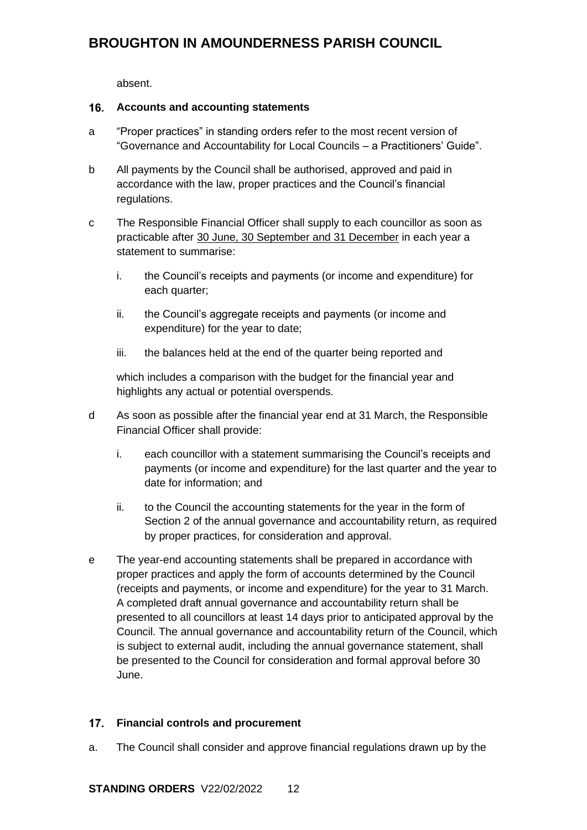absent.

#### <span id="page-11-0"></span> $16.$ **Accounts and accounting statements**

- a "Proper practices" in standing orders refer to the most recent version of "Governance and Accountability for Local Councils – a Practitioners' Guide".
- b All payments by the Council shall be authorised, approved and paid in accordance with the law, proper practices and the Council's financial regulations.
- c The Responsible Financial Officer shall supply to each councillor as soon as practicable after 30 June, 30 September and 31 December in each year a statement to summarise:
	- i. the Council's receipts and payments (or income and expenditure) for each quarter;
	- ii. the Council's aggregate receipts and payments (or income and expenditure) for the year to date;
	- iii. the balances held at the end of the quarter being reported and

which includes a comparison with the budget for the financial year and highlights any actual or potential overspends.

- d As soon as possible after the financial year end at 31 March, the Responsible Financial Officer shall provide:
	- i. each councillor with a statement summarising the Council's receipts and payments (or income and expenditure) for the last quarter and the year to date for information; and
	- ii. to the Council the accounting statements for the year in the form of Section 2 of the annual governance and accountability return, as required by proper practices, for consideration and approval.
- e The year-end accounting statements shall be prepared in accordance with proper practices and apply the form of accounts determined by the Council (receipts and payments, or income and expenditure) for the year to 31 March. A completed draft annual governance and accountability return shall be presented to all councillors at least 14 days prior to anticipated approval by the Council. The annual governance and accountability return of the Council, which is subject to external audit, including the annual governance statement, shall be presented to the Council for consideration and formal approval before 30 June.

## <span id="page-11-1"></span>**Financial controls and procurement**

a. The Council shall consider and approve financial regulations drawn up by the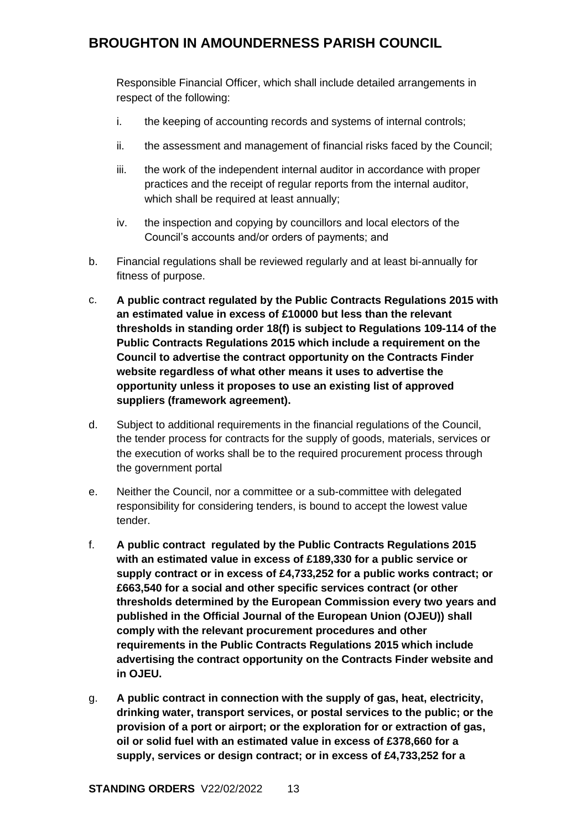Responsible Financial Officer, which shall include detailed arrangements in respect of the following:

- i. the keeping of accounting records and systems of internal controls;
- ii. the assessment and management of financial risks faced by the Council;
- iii. the work of the independent internal auditor in accordance with proper practices and the receipt of regular reports from the internal auditor, which shall be required at least annually;
- iv. the inspection and copying by councillors and local electors of the Council's accounts and/or orders of payments; and
- b. Financial regulations shall be reviewed regularly and at least bi-annually for fitness of purpose.
- c. **A public contract regulated by the Public Contracts Regulations 2015 with an estimated value in excess of £10000 but less than the relevant thresholds in standing order 18(f) is subject to Regulations 109-114 of the Public Contracts Regulations 2015 which include a requirement on the Council to advertise the contract opportunity on the Contracts Finder website regardless of what other means it uses to advertise the opportunity unless it proposes to use an existing list of approved suppliers (framework agreement).**
- d. Subject to additional requirements in the financial regulations of the Council, the tender process for contracts for the supply of goods, materials, services or the execution of works shall be to the required procurement process through the government portal
- e. Neither the Council, nor a committee or a sub-committee with delegated responsibility for considering tenders, is bound to accept the lowest value tender.
- f. **A public contract regulated by the Public Contracts Regulations 2015 with an estimated value in excess of £189,330 for a public service or supply contract or in excess of £4,733,252 for a public works contract; or £663,540 for a social and other specific services contract (or other thresholds determined by the European Commission every two years and published in the Official Journal of the European Union (OJEU)) shall comply with the relevant procurement procedures and other requirements in the Public Contracts Regulations 2015 which include advertising the contract opportunity on the Contracts Finder website and in OJEU.**
- g. **A public contract in connection with the supply of gas, heat, electricity, drinking water, transport services, or postal services to the public; or the provision of a port or airport; or the exploration for or extraction of gas, oil or solid fuel with an estimated value in excess of £378,660 for a supply, services or design contract; or in excess of £4,733,252 for a**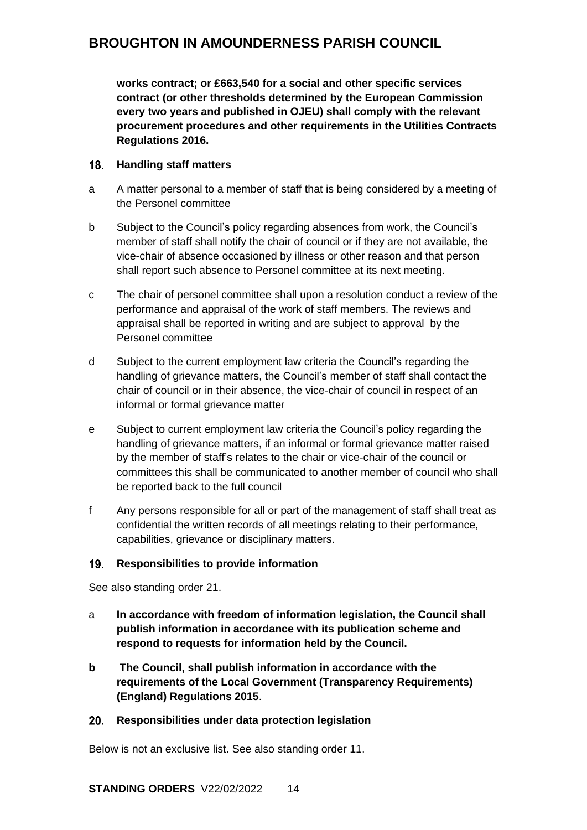**works contract; or £663,540 for a social and other specific services contract (or other thresholds determined by the European Commission every two years and published in OJEU) shall comply with the relevant procurement procedures and other requirements in the Utilities Contracts Regulations 2016.**

### <span id="page-13-0"></span>**Handling staff matters**

- a A matter personal to a member of staff that is being considered by a meeting of the Personel committee
- b Subject to the Council's policy regarding absences from work, the Council's member of staff shall notify the chair of council or if they are not available, the vice-chair of absence occasioned by illness or other reason and that person shall report such absence to Personel committee at its next meeting.
- c The chair of personel committee shall upon a resolution conduct a review of the performance and appraisal of the work of staff members. The reviews and appraisal shall be reported in writing and are subject to approval by the Personel committee
- d Subject to the current employment law criteria the Council's regarding the handling of grievance matters, the Council's member of staff shall contact the chair of council or in their absence, the vice-chair of council in respect of an informal or formal grievance matter
- e Subject to current employment law criteria the Council's policy regarding the handling of grievance matters, if an informal or formal grievance matter raised by the member of staff's relates to the chair or vice-chair of the council or committees this shall be communicated to another member of council who shall be reported back to the full council
- f Any persons responsible for all or part of the management of staff shall treat as confidential the written records of all meetings relating to their performance, capabilities, grievance or disciplinary matters.

### <span id="page-13-1"></span>**Responsibilities to provide information**

See also standing order 21.

- a **In accordance with freedom of information legislation, the Council shall publish information in accordance with its publication scheme and respond to requests for information held by the Council.**
- **b The Council, shall publish information in accordance with the requirements of the Local Government (Transparency Requirements) (England) Regulations 2015**.

## <span id="page-13-2"></span>**Responsibilities under data protection legislation**

Below is not an exclusive list. See also standing order 11.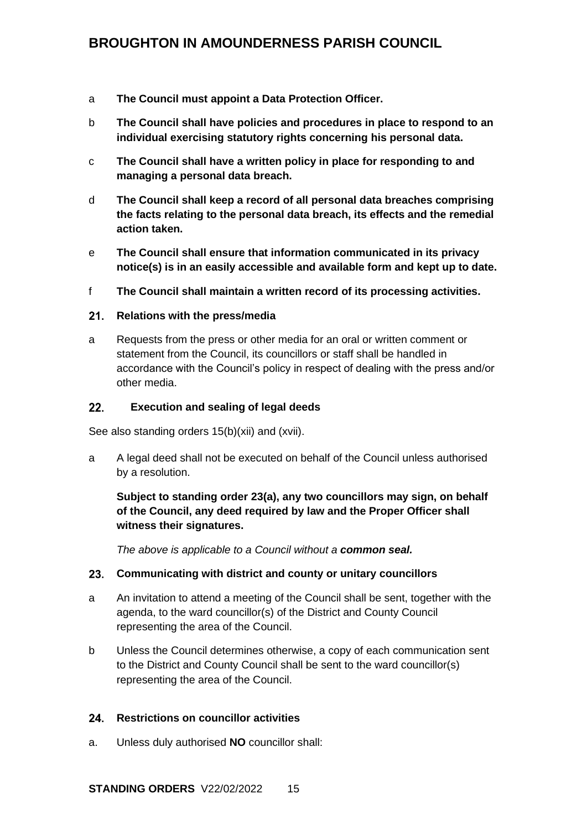- a **The Council must appoint a Data Protection Officer.**
- b **The Council shall have policies and procedures in place to respond to an individual exercising statutory rights concerning his personal data.**
- c **The Council shall have a written policy in place for responding to and managing a personal data breach.**
- d **The Council shall keep a record of all personal data breaches comprising the facts relating to the personal data breach, its effects and the remedial action taken.**
- e **The Council shall ensure that information communicated in its privacy notice(s) is in an easily accessible and available form and kept up to date.**
- f **The Council shall maintain a written record of its processing activities.**

### <span id="page-14-0"></span>**Relations with the press/media**

a Requests from the press or other media for an oral or written comment or statement from the Council, its councillors or staff shall be handled in accordance with the Council's policy in respect of dealing with the press and/or other media.

#### <span id="page-14-1"></span> $22.$ **Execution and sealing of legal deeds**

See also standing orders 15(b)(xii) and (xvii).

a A legal deed shall not be executed on behalf of the Council unless authorised by a resolution.

## **Subject to standing order 23(a), any two councillors may sign, on behalf of the Council, any deed required by law and the Proper Officer shall witness their signatures.**

*The above is applicable to a Council without a common seal.*

## <span id="page-14-2"></span>**Communicating with district and county or unitary councillors**

- a An invitation to attend a meeting of the Council shall be sent, together with the agenda, to the ward councillor(s) of the District and County Council representing the area of the Council.
- b Unless the Council determines otherwise, a copy of each communication sent to the District and County Council shall be sent to the ward councillor(s) representing the area of the Council.

### <span id="page-14-3"></span>**Restrictions on councillor activities**

a. Unless duly authorised **NO** councillor shall: